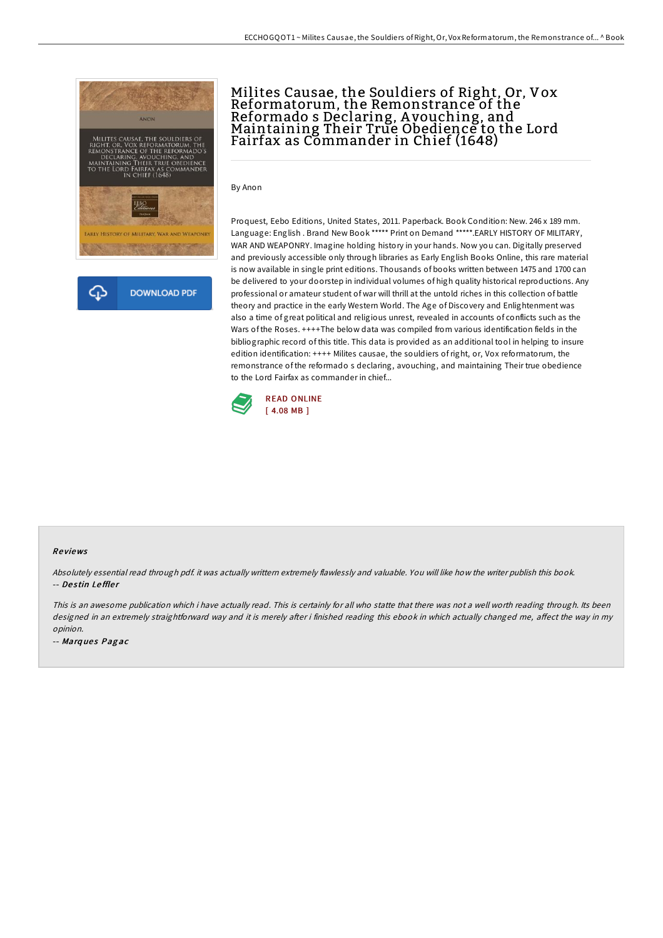

## Milites Causae, the Souldiers of Right, Or, Vox Reformatorum, the Remonstrance of the Reformado s Declaring, A vouching, and Maintaining Their True Obedience to the Lord Fairfax as Commander in Chief (1648)

By Anon

Proquest, Eebo Editions, United States, 2011. Paperback. Book Condition: New. 246 x 189 mm. Language: English . Brand New Book \*\*\*\*\* Print on Demand \*\*\*\*\*.EARLY HISTORY OF MILITARY, WAR AND WEAPONRY. Imagine holding history in your hands. Now you can. Digitally preserved and previously accessible only through libraries as Early English Books Online, this rare material is now available in single print editions. Thousands of books written between 1475 and 1700 can be delivered to your doorstep in individual volumes of high quality historical reproductions. Any professional or amateur student of war will thrill at the untold riches in this collection of battle theory and practice in the early Western World. The Age of Discovery and Enlightenment was also a time of great political and religious unrest, revealed in accounts of conflicts such as the Wars of the Roses. ++++The below data was compiled from various identification fields in the bibliographic record of this title. This data is provided as an additional tool in helping to insure edition identification: ++++ Milites causae, the souldiers ofright, or, Vox reformatorum, the remonstrance of the reformado s declaring, avouching, and maintaining Their true obedience to the Lord Fairfax as commander in chief...



#### Re views

Absolutely essential read through pdf. it was actually writtern extremely flawlessly and valuable. You will like how the writer publish this book. -- Destin Leffler

This is an awesome publication which i have actually read. This is certainly for all who statte that there was not a well worth reading through. Its been designed in an extremely straightforward way and it is merely after i finished reading this ebook in which actually changed me, affect the way in my opinion.

-- Marques Pagac